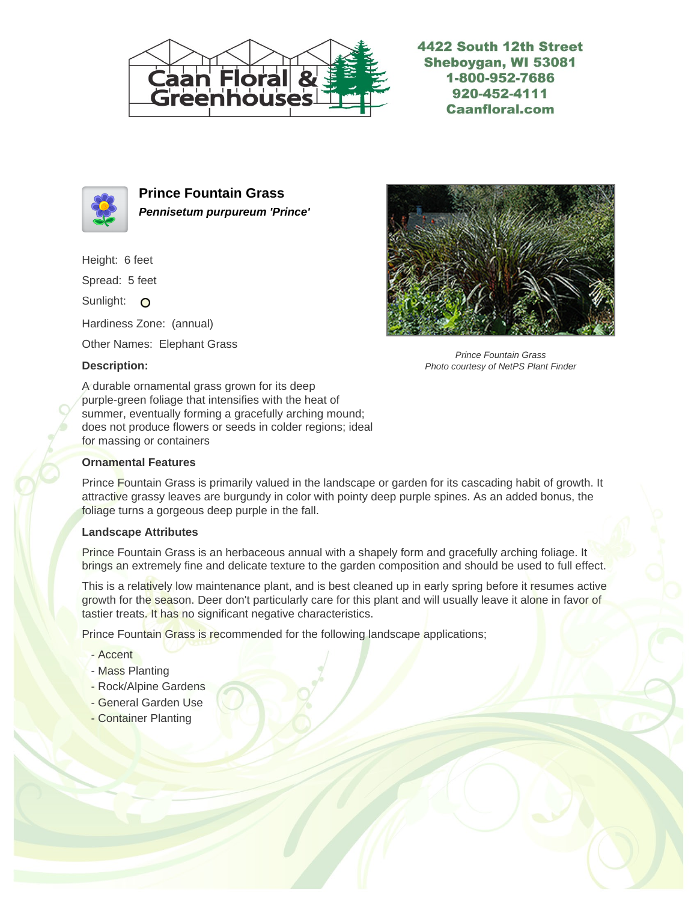

4422 South 12th Street Sheboygan, WI 53081 1-800-952-7686 920-452-4111 **Caanfloral.com** 



**Prince Fountain Grass Pennisetum purpureum 'Prince'**

Height: 6 feet

Spread: 5 feet

Sunlight: O

Hardiness Zone: (annual)

Other Names: Elephant Grass

## **Description:**



Prince Fountain Grass Photo courtesy of NetPS Plant Finder

A durable ornamental grass grown for its deep purple-green foliage that intensifies with the heat of summer, eventually forming a gracefully arching mound; does not produce flowers or seeds in colder regions; ideal for massing or containers

## **Ornamental Features**

Prince Fountain Grass is primarily valued in the landscape or garden for its cascading habit of growth. It attractive grassy leaves are burgundy in color with pointy deep purple spines. As an added bonus, the foliage turns a gorgeous deep purple in the fall.

## **Landscape Attributes**

Prince Fountain Grass is an herbaceous annual with a shapely form and gracefully arching foliage. It brings an extremely fine and delicate texture to the garden composition and should be used to full effect.

This is a relatively low maintenance plant, and is best cleaned up in early spring before it resumes active growth for the season. Deer don't particularly care for this plant and will usually leave it alone in favor of tastier treats. It has no significant negative characteristics.

Prince Fountain Grass is recommended for the following landscape applications;

- Accent
- Mass Planting
- Rock/Alpine Gardens
- General Garden Use
- Container Planting